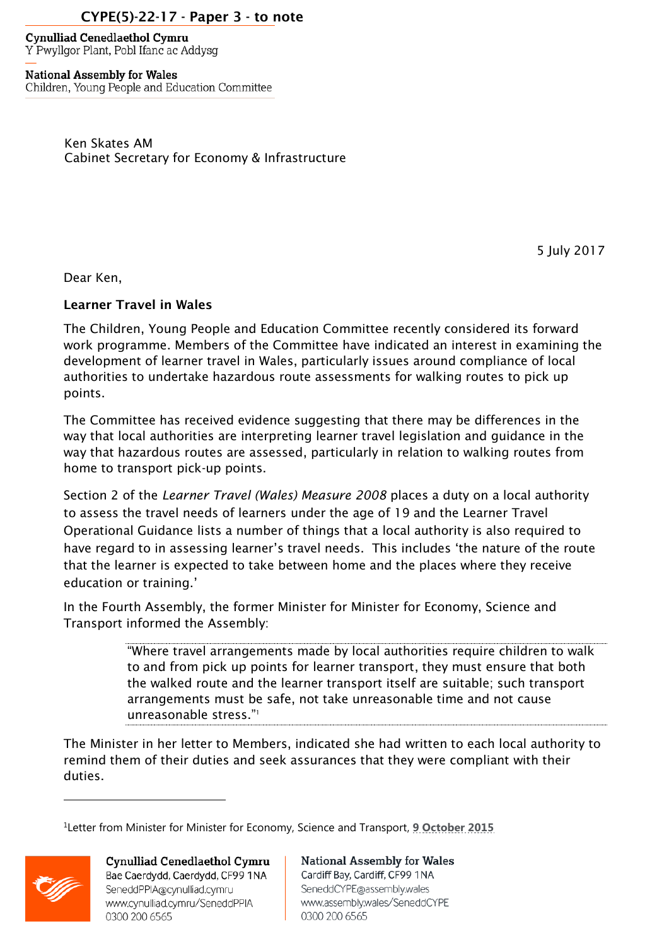## CYPE(5)-22-17 - Paper 3 - to note

**Cynulliad Cenedlaethol Cymru** Y Pwyllgor Plant, Pobl Ifanc ac Addysg

**National Assembly for Wales** Children, Young People and Education Committee

> Ken Skates AM Cabinet Secretary for Economy & Infrastructure

> > 5 July 2017

Dear Ken,

## Learner Travel in Wales

The Children, Young People and Education Committee recently considered its forward work programme. Members of the Committee have indicated an interest in examining the development of learner travel in Wales, particularly issues around compliance of local authorities to undertake hazardous route assessments for walking routes to pick up points.

The Committee has received evidence suggesting that there may be differences in the way that local authorities are interpreting learner travel legislation and guidance in the way that hazardous routes are assessed, particularly in relation to walking routes from home to transport pick-up points.

Section 2 of the *Learner Travel (Wales) Measure 2008* places a duty on a local authority to assess the travel needs of learners under the age of 19 and the Learner Travel Operational Guidance lists a number of things that a local authority is also required to have regard to in assessing learner's travel needs. This includes 'the nature of the route that the learner is expected to take between home and the places where they receive education or training.'

In the Fourth Assembly, the former Minister for Minister for Economy, Science and Transport informed the Assembly:

> "Where travel arrangements made by local authorities require children to walk to and from pick up points for learner transport, they must ensure that both the walked route and the learner transport itself are suitable; such transport arrangements must be safe, not take unreasonable time and not cause unreasonable stress."<sup>1</sup>

The Minister in her letter to Members, indicated she had written to each local authority to remind them of their duties and seek assurances that they were compliant with their duties.

<sup>&</sup>lt;sup>1</sup>Letter from Minister for Minister for Economy, Science and Transport, **[9 October 2015](http://www.assembly.wales/deposited%20papers/dp-1471-11-16/dp-1471-11-16.pdf)** 



 $\overline{a}$ 

Cynulliad Cenedlaethol Cymru Bae Caerdydd, Caerdydd, CF99 1NA SeneddPPIA@cynulliad.cymru www.cynulliad.cymru/SeneddPPIA 0300 200 6565

**National Assembly for Wales** Cardiff Bay, Cardiff, CF99 1NA SeneddCYPE@assembly.wales www.assembly.wales/SeneddCYPE 0300 200 6565